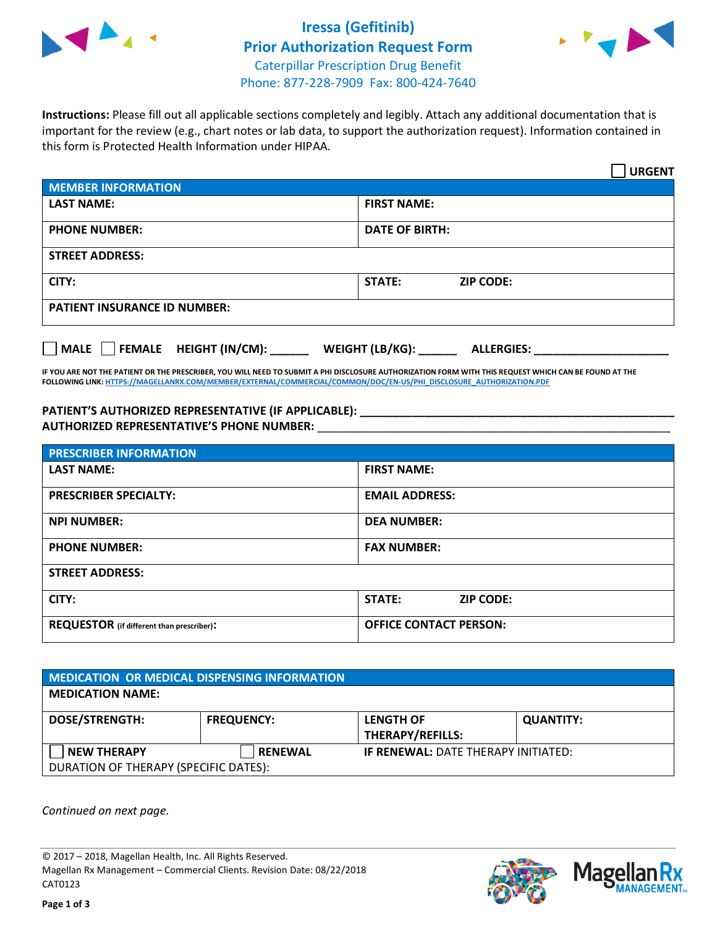

## **Iressa (Gefitinib) Prior Authorization Request Form** Caterpillar Prescription Drug Benefit Phone: 877-228-7909 Fax: 800-424-7640



**Instructions:** Please fill out all applicable sections completely and legibly. Attach any additional documentation that is important for the review (e.g., chart notes or lab data, to support the authorization request). Information contained in this form is Protected Health Information under HIPAA.

|                                       | <b>URGENT</b>                        |  |  |
|---------------------------------------|--------------------------------------|--|--|
| <b>MEMBER INFORMATION</b>             |                                      |  |  |
| <b>LAST NAME:</b>                     | <b>FIRST NAME:</b>                   |  |  |
| <b>PHONE NUMBER:</b>                  | <b>DATE OF BIRTH:</b>                |  |  |
| <b>STREET ADDRESS:</b>                |                                      |  |  |
| CITY:                                 | STATE:<br><b>ZIP CODE:</b>           |  |  |
| <b>PATIENT INSURANCE ID NUMBER:</b>   |                                      |  |  |
| FEMALE HEIGHT (IN/CM):<br><b>MALE</b> | WEIGHT (LB/KG):<br><b>ALLERGIES:</b> |  |  |

**IF YOU ARE NOT THE PATIENT OR THE PRESCRIBER, YOU WILL NEED TO SUBMIT A PHI DISCLOSURE AUTHORIZATION FORM WITH THIS REQUEST WHICH CAN BE FOUND AT THE FOLLOWING LINK[: HTTPS://MAGELLANRX.COM/MEMBER/EXTERNAL/COMMERCIAL/COMMON/DOC/EN-US/PHI\\_DISCLOSURE\\_AUTHORIZATION.PDF](https://magellanrx.com/member/external/commercial/common/doc/en-us/PHI_Disclosure_Authorization.pdf)**

**PATIENT'S AUTHORIZED REPRESENTATIVE (IF APPLICABLE): \_\_\_\_\_\_\_\_\_\_\_\_\_\_\_\_\_\_\_\_\_\_\_\_\_\_\_\_\_\_\_\_\_\_\_\_\_\_\_\_\_\_\_\_\_\_\_\_\_ AUTHORIZED REPRESENTATIVE'S PHONE NUMBER:** \_\_\_\_\_\_\_\_\_\_\_\_\_\_\_\_\_\_\_\_\_\_\_\_\_\_\_\_\_\_\_\_\_\_\_\_\_\_\_\_\_\_\_\_\_\_\_\_\_\_\_\_\_\_\_

| <b>PRESCRIBER INFORMATION</b>             |                               |  |  |  |
|-------------------------------------------|-------------------------------|--|--|--|
| <b>LAST NAME:</b>                         | <b>FIRST NAME:</b>            |  |  |  |
| <b>PRESCRIBER SPECIALTY:</b>              | <b>EMAIL ADDRESS:</b>         |  |  |  |
| <b>NPI NUMBER:</b>                        | <b>DEA NUMBER:</b>            |  |  |  |
| <b>PHONE NUMBER:</b>                      | <b>FAX NUMBER:</b>            |  |  |  |
| <b>STREET ADDRESS:</b>                    |                               |  |  |  |
| CITY:                                     | STATE:<br><b>ZIP CODE:</b>    |  |  |  |
| REQUESTOR (if different than prescriber): | <b>OFFICE CONTACT PERSON:</b> |  |  |  |

| <b>MEDICATION OR MEDICAL DISPENSING INFORMATION</b> |                   |                                            |                  |  |  |
|-----------------------------------------------------|-------------------|--------------------------------------------|------------------|--|--|
| <b>MEDICATION NAME:</b>                             |                   |                                            |                  |  |  |
| <b>DOSE/STRENGTH:</b>                               | <b>FREQUENCY:</b> | <b>LENGTH OF</b>                           | <b>QUANTITY:</b> |  |  |
|                                                     |                   | <b>THERAPY/REFILLS:</b>                    |                  |  |  |
| <b>NEW THERAPY</b>                                  | <b>RENEWAL</b>    | <b>IF RENEWAL: DATE THERAPY INITIATED:</b> |                  |  |  |
| DURATION OF THERAPY (SPECIFIC DATES):               |                   |                                            |                  |  |  |

*Continued on next page.*

© 2017 – 2018, Magellan Health, Inc. All Rights Reserved. Magellan Rx Management – Commercial Clients. Revision Date: 08/22/2018 CAT0123



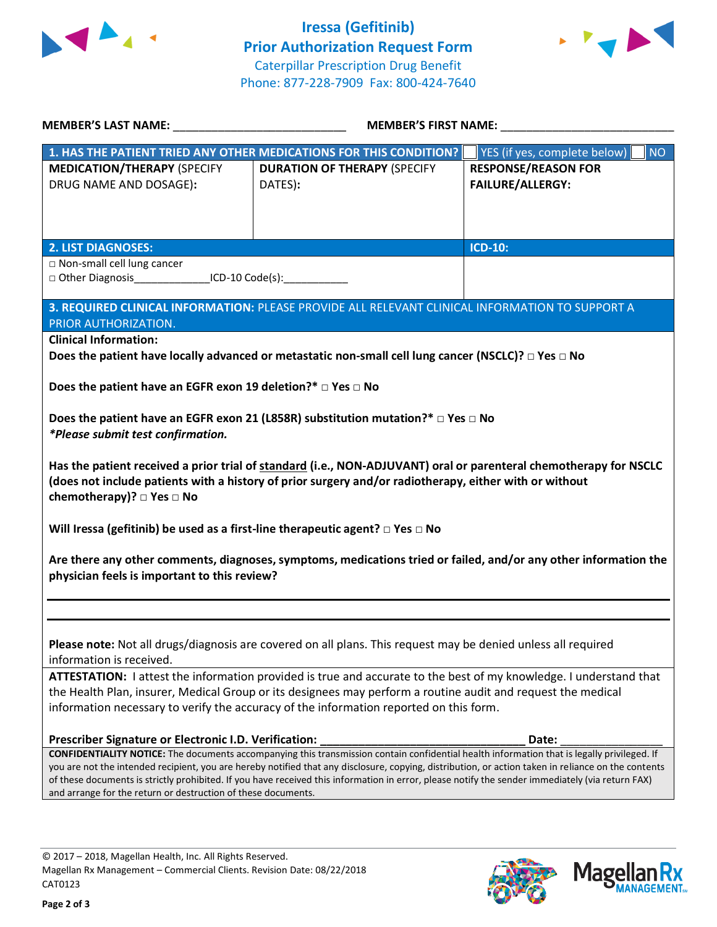



| MEMBER'S LAST NAME: NAME:                                                                                                                                                                                                                                                                               | <b>MEMBER'S FIRST NAME:</b>                                                                                                                        |                                           |  |  |  |
|---------------------------------------------------------------------------------------------------------------------------------------------------------------------------------------------------------------------------------------------------------------------------------------------------------|----------------------------------------------------------------------------------------------------------------------------------------------------|-------------------------------------------|--|--|--|
|                                                                                                                                                                                                                                                                                                         | 1. HAS THE PATIENT TRIED ANY OTHER MEDICATIONS FOR THIS CONDITION?                                                                                 | YES (if yes, complete below)<br><b>NO</b> |  |  |  |
| <b>MEDICATION/THERAPY (SPECIFY</b>                                                                                                                                                                                                                                                                      | <b>DURATION OF THERAPY (SPECIFY</b>                                                                                                                | <b>RESPONSE/REASON FOR</b>                |  |  |  |
| DRUG NAME AND DOSAGE):                                                                                                                                                                                                                                                                                  | DATES):                                                                                                                                            | <b>FAILURE/ALLERGY:</b>                   |  |  |  |
|                                                                                                                                                                                                                                                                                                         |                                                                                                                                                    |                                           |  |  |  |
|                                                                                                                                                                                                                                                                                                         |                                                                                                                                                    |                                           |  |  |  |
|                                                                                                                                                                                                                                                                                                         |                                                                                                                                                    |                                           |  |  |  |
| <b>2. LIST DIAGNOSES:</b>                                                                                                                                                                                                                                                                               |                                                                                                                                                    | <b>ICD-10:</b>                            |  |  |  |
| □ Non-small cell lung cancer<br>□ Other Diagnosis__________________ICD-10 Code(s):_____________________________                                                                                                                                                                                         |                                                                                                                                                    |                                           |  |  |  |
|                                                                                                                                                                                                                                                                                                         |                                                                                                                                                    |                                           |  |  |  |
|                                                                                                                                                                                                                                                                                                         | 3. REQUIRED CLINICAL INFORMATION: PLEASE PROVIDE ALL RELEVANT CLINICAL INFORMATION TO SUPPORT A                                                    |                                           |  |  |  |
| PRIOR AUTHORIZATION.                                                                                                                                                                                                                                                                                    |                                                                                                                                                    |                                           |  |  |  |
| <b>Clinical Information:</b>                                                                                                                                                                                                                                                                            |                                                                                                                                                    |                                           |  |  |  |
|                                                                                                                                                                                                                                                                                                         | Does the patient have locally advanced or metastatic non-small cell lung cancer (NSCLC)? $\Box$ Yes $\Box$ No                                      |                                           |  |  |  |
|                                                                                                                                                                                                                                                                                                         |                                                                                                                                                    |                                           |  |  |  |
| Does the patient have an EGFR exon 19 deletion?* $\Box$ Yes $\Box$ No                                                                                                                                                                                                                                   |                                                                                                                                                    |                                           |  |  |  |
|                                                                                                                                                                                                                                                                                                         |                                                                                                                                                    |                                           |  |  |  |
|                                                                                                                                                                                                                                                                                                         | Does the patient have an EGFR exon 21 (L858R) substitution mutation?* $\Box$ Yes $\Box$ No                                                         |                                           |  |  |  |
| *Please submit test confirmation.                                                                                                                                                                                                                                                                       |                                                                                                                                                    |                                           |  |  |  |
|                                                                                                                                                                                                                                                                                                         |                                                                                                                                                    |                                           |  |  |  |
|                                                                                                                                                                                                                                                                                                         | Has the patient received a prior trial of standard (i.e., NON-ADJUVANT) oral or parenteral chemotherapy for NSCLC                                  |                                           |  |  |  |
| chemotherapy)? □ Yes □ No                                                                                                                                                                                                                                                                               | (does not include patients with a history of prior surgery and/or radiotherapy, either with or without                                             |                                           |  |  |  |
|                                                                                                                                                                                                                                                                                                         |                                                                                                                                                    |                                           |  |  |  |
| Will Iressa (gefitinib) be used as a first-line therapeutic agent? $\square$ Yes $\square$ No                                                                                                                                                                                                           |                                                                                                                                                    |                                           |  |  |  |
|                                                                                                                                                                                                                                                                                                         |                                                                                                                                                    |                                           |  |  |  |
|                                                                                                                                                                                                                                                                                                         | Are there any other comments, diagnoses, symptoms, medications tried or failed, and/or any other information the                                   |                                           |  |  |  |
| physician feels is important to this review?                                                                                                                                                                                                                                                            |                                                                                                                                                    |                                           |  |  |  |
|                                                                                                                                                                                                                                                                                                         |                                                                                                                                                    |                                           |  |  |  |
|                                                                                                                                                                                                                                                                                                         |                                                                                                                                                    |                                           |  |  |  |
|                                                                                                                                                                                                                                                                                                         |                                                                                                                                                    |                                           |  |  |  |
| Please note: Not all drugs/diagnosis are covered on all plans. This request may be denied unless all required                                                                                                                                                                                           |                                                                                                                                                    |                                           |  |  |  |
| information is received.                                                                                                                                                                                                                                                                                |                                                                                                                                                    |                                           |  |  |  |
| ATTESTATION: I attest the information provided is true and accurate to the best of my knowledge. I understand that                                                                                                                                                                                      |                                                                                                                                                    |                                           |  |  |  |
| the Health Plan, insurer, Medical Group or its designees may perform a routine audit and request the medical                                                                                                                                                                                            |                                                                                                                                                    |                                           |  |  |  |
| information necessary to verify the accuracy of the information reported on this form.                                                                                                                                                                                                                  |                                                                                                                                                    |                                           |  |  |  |
|                                                                                                                                                                                                                                                                                                         |                                                                                                                                                    |                                           |  |  |  |
| Prescriber Signature or Electronic I.D. Verification:                                                                                                                                                                                                                                                   |                                                                                                                                                    | Date:                                     |  |  |  |
|                                                                                                                                                                                                                                                                                                         | <b>CONFIDENTIALITY NOTICE:</b> The documents accompanying this transmission contain confidential health information that is legally privileged. If |                                           |  |  |  |
| you are not the intended recipient, you are hereby notified that any disclosure, copying, distribution, or action taken in reliance on the contents<br>of these documents is strictly prohibited. If you have received this information in error, please notify the sender immediately (via return FAX) |                                                                                                                                                    |                                           |  |  |  |
| and arrange for the return or destruction of these documents.                                                                                                                                                                                                                                           |                                                                                                                                                    |                                           |  |  |  |
|                                                                                                                                                                                                                                                                                                         |                                                                                                                                                    |                                           |  |  |  |
|                                                                                                                                                                                                                                                                                                         |                                                                                                                                                    |                                           |  |  |  |